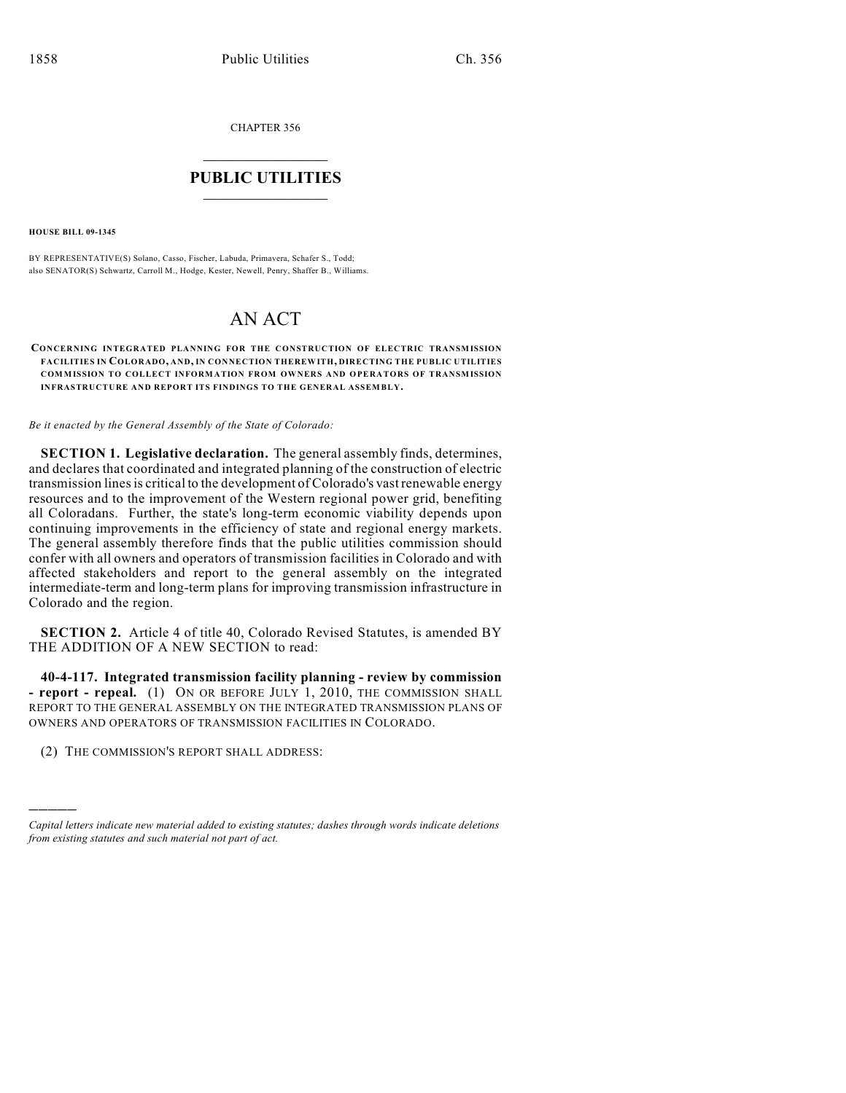CHAPTER 356

## $\overline{\phantom{a}}$  . The set of the set of the set of the set of the set of the set of the set of the set of the set of the set of the set of the set of the set of the set of the set of the set of the set of the set of the set o **PUBLIC UTILITIES** \_\_\_\_\_\_\_\_\_\_\_\_\_\_\_

**HOUSE BILL 09-1345**

)))))

BY REPRESENTATIVE(S) Solano, Casso, Fischer, Labuda, Primavera, Schafer S., Todd; also SENATOR(S) Schwartz, Carroll M., Hodge, Kester, Newell, Penry, Shaffer B., Williams.

## AN ACT

**CONCERNING INTEGRATED PLANNING FOR THE CONSTRUCTION OF ELECTRIC TRANSMISSION FACILITIES IN COLORADO, AND, IN CONNECTION THEREWITH, DIRECTING THE PUBLIC UTILITIES COMMISSION TO COLLECT INFORMATION FROM OWNERS AND OPERATORS OF TRANSMISSION INFRASTRUCTURE AND REPORT ITS FINDINGS TO THE GENERAL ASSEMBLY.**

*Be it enacted by the General Assembly of the State of Colorado:*

**SECTION 1. Legislative declaration.** The general assembly finds, determines, and declares that coordinated and integrated planning of the construction of electric transmission lines is critical to the development of Colorado's vast renewable energy resources and to the improvement of the Western regional power grid, benefiting all Coloradans. Further, the state's long-term economic viability depends upon continuing improvements in the efficiency of state and regional energy markets. The general assembly therefore finds that the public utilities commission should confer with all owners and operators of transmission facilities in Colorado and with affected stakeholders and report to the general assembly on the integrated intermediate-term and long-term plans for improving transmission infrastructure in Colorado and the region.

**SECTION 2.** Article 4 of title 40, Colorado Revised Statutes, is amended BY THE ADDITION OF A NEW SECTION to read:

**40-4-117. Integrated transmission facility planning - review by commission - report - repeal.** (1) ON OR BEFORE JULY 1, 2010, THE COMMISSION SHALL REPORT TO THE GENERAL ASSEMBLY ON THE INTEGRATED TRANSMISSION PLANS OF OWNERS AND OPERATORS OF TRANSMISSION FACILITIES IN COLORADO.

(2) THE COMMISSION'S REPORT SHALL ADDRESS:

*Capital letters indicate new material added to existing statutes; dashes through words indicate deletions from existing statutes and such material not part of act.*